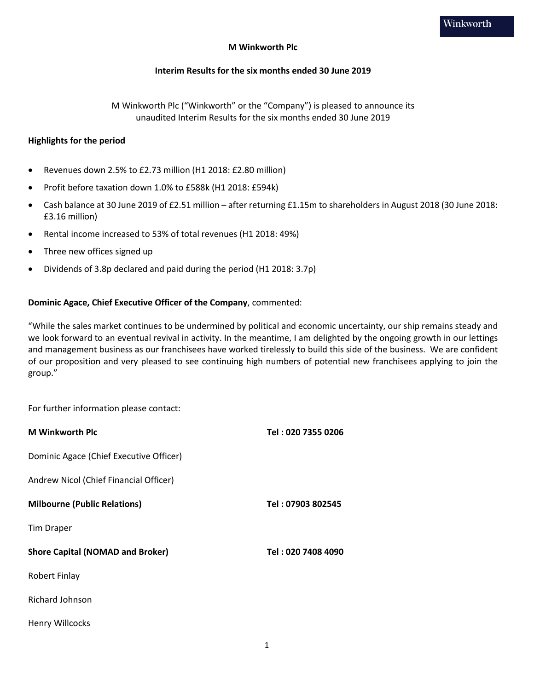### **M Winkworth Plc**

### **Interim Results for the six months ended 30 June 2019**

M Winkworth Plc ("Winkworth" or the "Company") is pleased to announce its unaudited Interim Results for the six months ended 30 June 2019

#### **Highlights for the period**

- Revenues down 2.5% to £2.73 million (H1 2018: £2.80 million)
- Profit before taxation down 1.0% to £588k (H1 2018: £594k)
- Cash balance at 30 June 2019 of £2.51 million after returning £1.15m to shareholders in August 2018 (30 June 2018: £3.16 million)
- Rental income increased to 53% of total revenues (H1 2018: 49%)
- Three new offices signed up
- Dividends of 3.8p declared and paid during the period (H1 2018: 3.7p)

### **Dominic Agace, Chief Executive Officer of the Company**, commented:

"While the sales market continues to be undermined by political and economic uncertainty, our ship remains steady and we look forward to an eventual revival in activity. In the meantime, I am delighted by the ongoing growth in our lettings and management business as our franchisees have worked tirelessly to build this side of the business. We are confident of our proposition and very pleased to see continuing high numbers of potential new franchisees applying to join the group."

For further information please contact:

| <b>M</b> Winkworth Plc                  | Tel: 020 7355 0206 |
|-----------------------------------------|--------------------|
| Dominic Agace (Chief Executive Officer) |                    |
| Andrew Nicol (Chief Financial Officer)  |                    |
| <b>Milbourne (Public Relations)</b>     | Tel: 07903 802545  |
| <b>Tim Draper</b>                       |                    |
| <b>Shore Capital (NOMAD and Broker)</b> | Tel: 020 7408 4090 |
| Robert Finlay                           |                    |
| Richard Johnson                         |                    |
| Henry Willcocks                         |                    |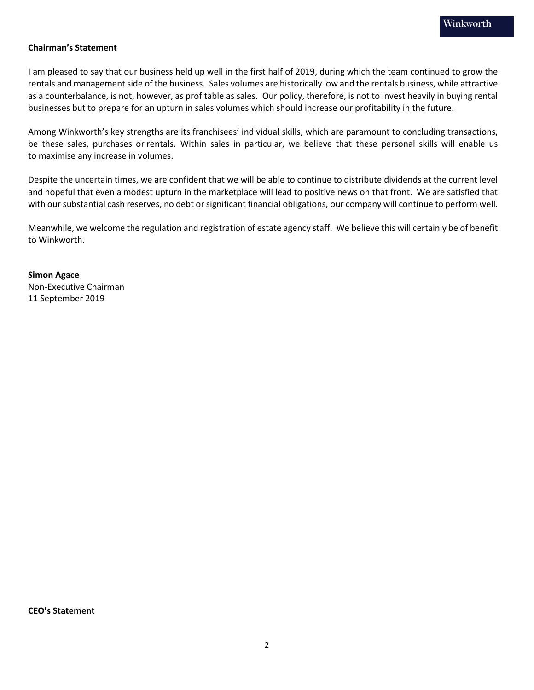## **Chairman's Statement**

I am pleased to say that our business held up well in the first half of 2019, during which the team continued to grow the rentals and management side of the business. Sales volumes are historically low and the rentals business, while attractive as a counterbalance, is not, however, as profitable as sales. Our policy, therefore, is not to invest heavily in buying rental businesses but to prepare for an upturn in sales volumes which should increase our profitability in the future.

Among Winkworth's key strengths are its franchisees' individual skills, which are paramount to concluding transactions, be these sales, purchases or rentals. Within sales in particular, we believe that these personal skills will enable us to maximise any increase in volumes.

Despite the uncertain times, we are confident that we will be able to continue to distribute dividends at the current level and hopeful that even a modest upturn in the marketplace will lead to positive news on that front. We are satisfied that with our substantial cash reserves, no debt or significant financial obligations, our company will continue to perform well.

Meanwhile, we welcome the regulation and registration of estate agency staff. We believe this will certainly be of benefit to Winkworth.

**Simon Agace** Non-Executive Chairman 11 September 2019

**CEO's Statement**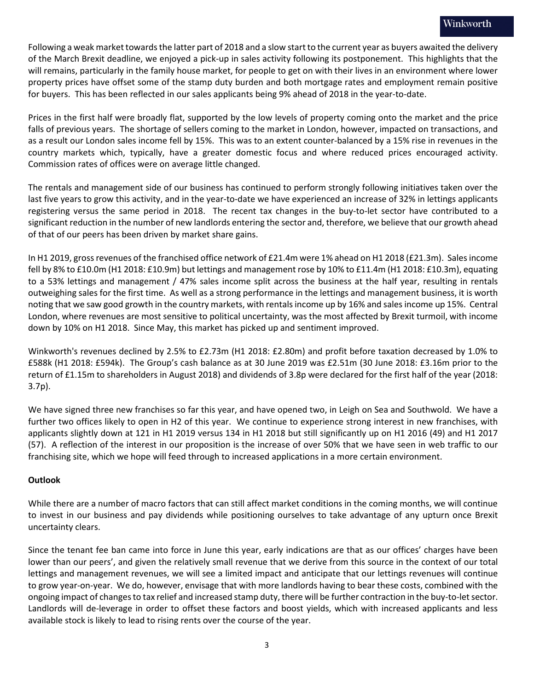Following a weak market towards the latter part of 2018 and a slow start to the current year as buyers awaited the delivery of the March Brexit deadline, we enjoyed a pick-up in sales activity following its postponement. This highlights that the will remains, particularly in the family house market, for people to get on with their lives in an environment where lower property prices have offset some of the stamp duty burden and both mortgage rates and employment remain positive for buyers. This has been reflected in our sales applicants being 9% ahead of 2018 in the year-to-date.

Prices in the first half were broadly flat, supported by the low levels of property coming onto the market and the price falls of previous years. The shortage of sellers coming to the market in London, however, impacted on transactions, and as a result our London sales income fell by 15%. This was to an extent counter-balanced by a 15% rise in revenues in the country markets which, typically, have a greater domestic focus and where reduced prices encouraged activity. Commission rates of offices were on average little changed.

The rentals and management side of our business has continued to perform strongly following initiatives taken over the last five years to grow this activity, and in the year-to-date we have experienced an increase of 32% in lettings applicants registering versus the same period in 2018. The recent tax changes in the buy-to-let sector have contributed to a significant reduction in the number of new landlords entering the sector and, therefore, we believe that our growth ahead of that of our peers has been driven by market share gains.

In H1 2019, gross revenues of the franchised office network of £21.4m were 1% ahead on H1 2018 (£21.3m). Sales income fell by 8% to £10.0m (H1 2018: £10.9m) but lettings and management rose by 10% to £11.4m (H1 2018: £10.3m), equating to a 53% lettings and management / 47% sales income split across the business at the half year, resulting in rentals outweighing sales for the first time. As well as a strong performance in the lettings and management business, it is worth noting that we saw good growth in the country markets, with rentals income up by 16% and sales income up 15%. Central London, where revenues are most sensitive to political uncertainty, was the most affected by Brexit turmoil, with income down by 10% on H1 2018. Since May, this market has picked up and sentiment improved.

Winkworth's revenues declined by 2.5% to £2.73m (H1 2018: £2.80m) and profit before taxation decreased by 1.0% to £588k (H1 2018: £594k). The Group's cash balance as at 30 June 2019 was £2.51m (30 June 2018: £3.16m prior to the return of £1.15m to shareholders in August 2018) and dividends of 3.8p were declared for the first half of the year (2018: 3.7p).

We have signed three new franchises so far this year, and have opened two, in Leigh on Sea and Southwold. We have a further two offices likely to open in H2 of this year. We continue to experience strong interest in new franchises, with applicants slightly down at 121 in H1 2019 versus 134 in H1 2018 but still significantly up on H1 2016 (49) and H1 2017 (57). A reflection of the interest in our proposition is the increase of over 50% that we have seen in web traffic to our franchising site, which we hope will feed through to increased applications in a more certain environment.

## **Outlook**

While there are a number of macro factors that can still affect market conditions in the coming months, we will continue to invest in our business and pay dividends while positioning ourselves to take advantage of any upturn once Brexit uncertainty clears.

Since the tenant fee ban came into force in June this year, early indications are that as our offices' charges have been lower than our peers', and given the relatively small revenue that we derive from this source in the context of our total lettings and management revenues, we will see a limited impact and anticipate that our lettings revenues will continue to grow year-on-year. We do, however, envisage that with more landlords having to bear these costs, combined with the ongoing impact of changes to tax relief and increased stamp duty, there will be further contraction in the buy-to-let sector. Landlords will de-leverage in order to offset these factors and boost yields, which with increased applicants and less available stock is likely to lead to rising rents over the course of the year.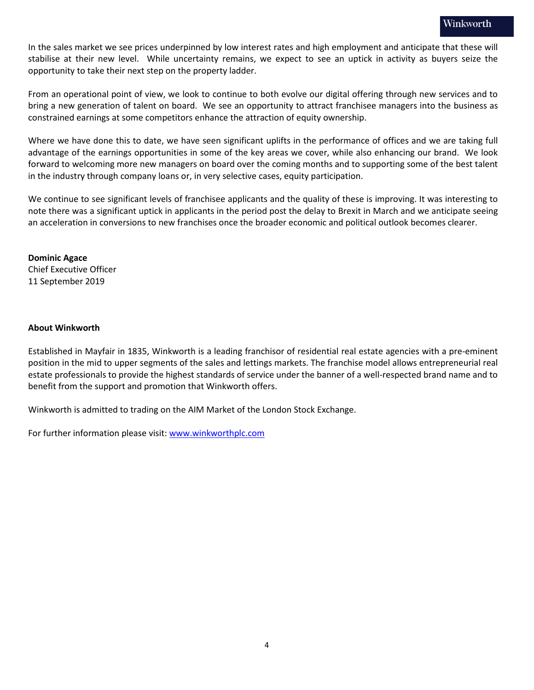In the sales market we see prices underpinned by low interest rates and high employment and anticipate that these will stabilise at their new level. While uncertainty remains, we expect to see an uptick in activity as buyers seize the opportunity to take their next step on the property ladder.

From an operational point of view, we look to continue to both evolve our digital offering through new services and to bring a new generation of talent on board. We see an opportunity to attract franchisee managers into the business as constrained earnings at some competitors enhance the attraction of equity ownership.

Where we have done this to date, we have seen significant uplifts in the performance of offices and we are taking full advantage of the earnings opportunities in some of the key areas we cover, while also enhancing our brand. We look forward to welcoming more new managers on board over the coming months and to supporting some of the best talent in the industry through company loans or, in very selective cases, equity participation.

We continue to see significant levels of franchisee applicants and the quality of these is improving. It was interesting to note there was a significant uptick in applicants in the period post the delay to Brexit in March and we anticipate seeing an acceleration in conversions to new franchises once the broader economic and political outlook becomes clearer.

**Dominic Agace** Chief Executive Officer 11 September 2019

### **About Winkworth**

Established in Mayfair in 1835, Winkworth is a leading franchisor of residential real estate agencies with a pre-eminent position in the mid to upper segments of the sales and lettings markets. The franchise model allows entrepreneurial real estate professionals to provide the highest standards of service under the banner of a well-respected brand name and to benefit from the support and promotion that Winkworth offers.

Winkworth is admitted to trading on the AIM Market of the London Stock Exchange.

For further information please visit: [www.winkworthplc.com](http://www.winkworthplc.com/)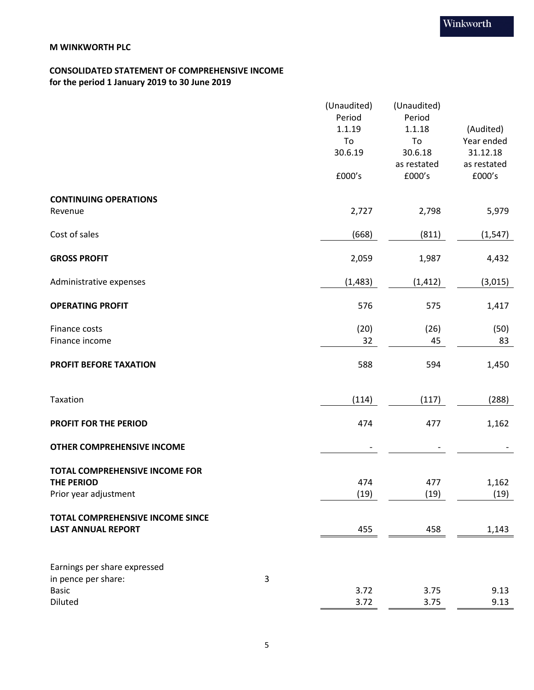## **CONSOLIDATED STATEMENT OF COMPREHENSIVE INCOME for the period 1 January 2019 to 30 June 2019**

|                                   |   | (Unaudited) | (Unaudited)           |                       |
|-----------------------------------|---|-------------|-----------------------|-----------------------|
|                                   |   | Period      | Period                |                       |
|                                   |   | 1.1.19      | 1.1.18                | (Audited)             |
|                                   |   | To          | To                    | Year ended            |
|                                   |   | 30.6.19     | 30.6.18               | 31.12.18              |
|                                   |   | £000's      | as restated<br>£000's | as restated<br>£000's |
| <b>CONTINUING OPERATIONS</b>      |   |             |                       |                       |
| Revenue                           |   | 2,727       | 2,798                 | 5,979                 |
| Cost of sales                     |   | (668)       | (811)                 | (1, 547)              |
| <b>GROSS PROFIT</b>               |   | 2,059       | 1,987                 | 4,432                 |
| Administrative expenses           |   | (1, 483)    | (1, 412)              | (3,015)               |
| <b>OPERATING PROFIT</b>           |   | 576         | 575                   | 1,417                 |
| Finance costs                     |   | (20)        | (26)                  | (50)                  |
| Finance income                    |   | 32          | 45                    | 83                    |
| PROFIT BEFORE TAXATION            |   | 588         | 594                   | 1,450                 |
| Taxation                          |   | (114)       | (117)                 | (288)                 |
| PROFIT FOR THE PERIOD             |   | 474         | 477                   | 1,162                 |
| <b>OTHER COMPREHENSIVE INCOME</b> |   |             |                       |                       |
| TOTAL COMPREHENSIVE INCOME FOR    |   |             |                       |                       |
| <b>THE PERIOD</b>                 |   | 474         | 477                   | 1,162                 |
| Prior year adjustment             |   | (19)        | (19)                  | (19)                  |
| TOTAL COMPREHENSIVE INCOME SINCE  |   |             |                       |                       |
| <b>LAST ANNUAL REPORT</b>         |   | 455         | 458                   | 1,143                 |
| Earnings per share expressed      |   |             |                       |                       |
| in pence per share:               | 3 |             |                       |                       |
| <b>Basic</b>                      |   | 3.72        | 3.75                  | 9.13                  |
| Diluted                           |   | 3.72        | 3.75                  | 9.13                  |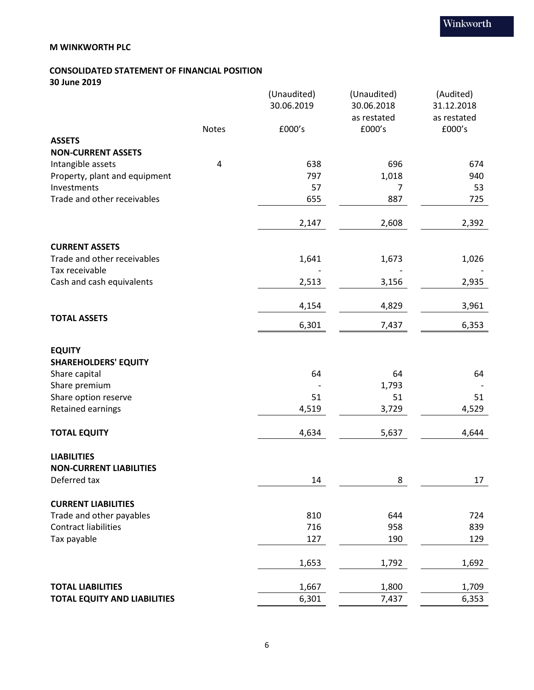## **CONSOLIDATED STATEMENT OF FINANCIAL POSITION 30 June 2019**

|                                     |       | (Unaudited)<br>30.06.2019 | (Unaudited)<br>30.06.2018 | (Audited)<br>31.12.2018 |
|-------------------------------------|-------|---------------------------|---------------------------|-------------------------|
|                                     |       |                           | as restated               | as restated             |
|                                     | Notes | £000's                    | £000's                    | £000's                  |
| <b>ASSETS</b>                       |       |                           |                           |                         |
| <b>NON-CURRENT ASSETS</b>           |       |                           |                           |                         |
| Intangible assets                   | 4     | 638                       | 696                       | 674                     |
| Property, plant and equipment       |       | 797                       | 1,018                     | 940                     |
| Investments                         |       | 57                        | 7                         | 53                      |
| Trade and other receivables         |       | 655                       | 887                       | 725                     |
|                                     |       | 2,147                     | 2,608                     | 2,392                   |
| <b>CURRENT ASSETS</b>               |       |                           |                           |                         |
| Trade and other receivables         |       | 1,641                     | 1,673                     | 1,026                   |
| Tax receivable                      |       |                           |                           |                         |
| Cash and cash equivalents           |       | 2,513                     | 3,156                     | 2,935                   |
|                                     |       | 4,154                     | 4,829                     | 3,961                   |
| <b>TOTAL ASSETS</b>                 |       | 6,301                     | 7,437                     | 6,353                   |
| <b>EQUITY</b>                       |       |                           |                           |                         |
| <b>SHAREHOLDERS' EQUITY</b>         |       |                           |                           |                         |
| Share capital                       |       | 64                        | 64                        | 64                      |
| Share premium                       |       |                           | 1,793                     |                         |
| Share option reserve                |       | 51                        | 51                        | 51                      |
| Retained earnings                   |       | 4,519                     | 3,729                     | 4,529                   |
| <b>TOTAL EQUITY</b>                 |       | 4,634                     | 5,637                     | 4,644                   |
| <b>LIABILITIES</b>                  |       |                           |                           |                         |
| <b>NON-CURRENT LIABILITIES</b>      |       |                           |                           |                         |
| Deferred tax                        |       | 14                        | 8                         | 17                      |
| <b>CURRENT LIABILITIES</b>          |       |                           |                           |                         |
| Trade and other payables            |       | 810                       | 644                       | 724                     |
| <b>Contract liabilities</b>         |       | 716                       | 958                       | 839                     |
| Tax payable                         |       | 127                       | 190                       | 129                     |
|                                     |       | 1,653                     | 1,792                     | 1,692                   |
| <b>TOTAL LIABILITIES</b>            |       | 1,667                     | 1,800                     | 1,709                   |
| <b>TOTAL EQUITY AND LIABILITIES</b> |       | 6,301                     | 7,437                     | 6,353                   |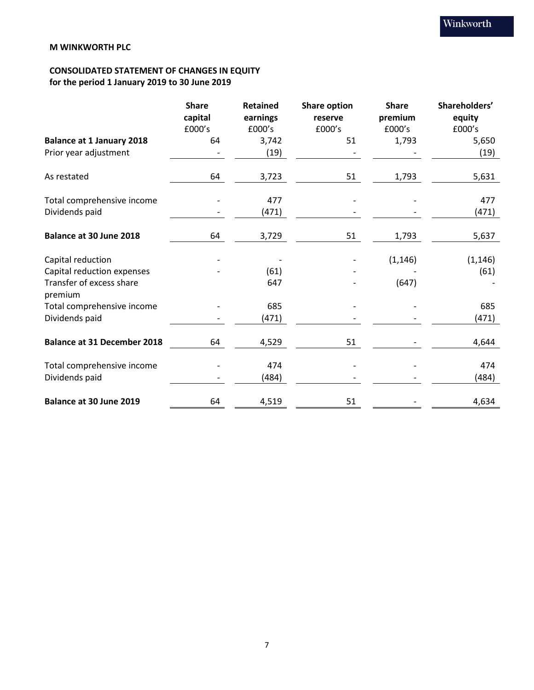# **CONSOLIDATED STATEMENT OF CHANGES IN EQUITY for the period 1 January 2019 to 30 June 2019**

|                                     | <b>Share</b><br>capital | <b>Retained</b><br>earnings | <b>Share option</b><br>reserve | <b>Share</b><br>premium | Shareholders'<br>equity |
|-------------------------------------|-------------------------|-----------------------------|--------------------------------|-------------------------|-------------------------|
|                                     | £000's                  | £000's                      | £000's                         | £000's                  | £000's                  |
| <b>Balance at 1 January 2018</b>    | 64                      | 3,742                       | 51                             | 1,793                   | 5,650                   |
| Prior year adjustment               |                         | (19)                        |                                |                         | (19)                    |
| As restated                         | 64                      | 3,723                       | 51                             | 1,793                   | 5,631                   |
| Total comprehensive income          |                         | 477                         |                                |                         | 477                     |
| Dividends paid                      |                         | (471)                       |                                |                         | (471)                   |
| Balance at 30 June 2018             | 64                      | 3,729                       | 51                             | 1,793                   | 5,637                   |
| Capital reduction                   |                         |                             |                                | (1, 146)                | (1, 146)                |
| Capital reduction expenses          |                         | (61)                        |                                |                         | (61)                    |
| Transfer of excess share<br>premium |                         | 647                         |                                | (647)                   |                         |
| Total comprehensive income          |                         | 685                         |                                |                         | 685                     |
| Dividends paid                      |                         | (471)                       |                                |                         | (471)                   |
| <b>Balance at 31 December 2018</b>  | 64                      | 4,529                       | 51                             |                         | 4,644                   |
| Total comprehensive income          |                         | 474                         |                                |                         | 474                     |
| Dividends paid                      |                         | (484)                       |                                |                         | (484)                   |
| Balance at 30 June 2019             | 64                      | 4,519                       | 51                             |                         | 4,634                   |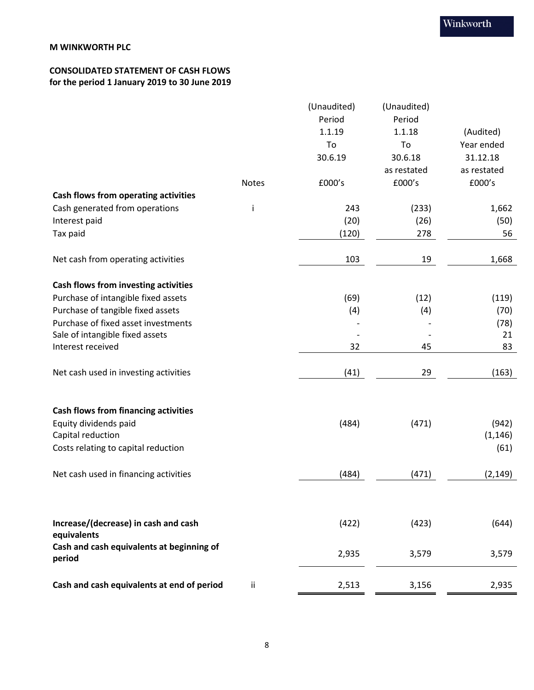## **CONSOLIDATED STATEMENT OF CASH FLOWS for the period 1 January 2019 to 30 June 2019**

|                                                     |              | (Unaudited) | (Unaudited) |             |
|-----------------------------------------------------|--------------|-------------|-------------|-------------|
|                                                     |              | Period      | Period      |             |
|                                                     |              | 1.1.19      | 1.1.18      | (Audited)   |
|                                                     |              | To          | To          | Year ended  |
|                                                     |              | 30.6.19     | 30.6.18     | 31.12.18    |
|                                                     |              |             | as restated | as restated |
|                                                     | <b>Notes</b> | £000's      | £000's      | £000's      |
| Cash flows from operating activities                |              |             |             |             |
| Cash generated from operations                      | j            | 243         | (233)       | 1,662       |
| Interest paid                                       |              | (20)        | (26)        | (50)        |
| Tax paid                                            |              | (120)       | 278         | 56          |
|                                                     |              |             |             |             |
| Net cash from operating activities                  |              | 103         | 19          | 1,668       |
| Cash flows from investing activities                |              |             |             |             |
| Purchase of intangible fixed assets                 |              | (69)        | (12)        | (119)       |
| Purchase of tangible fixed assets                   |              | (4)         | (4)         | (70)        |
| Purchase of fixed asset investments                 |              |             |             | (78)        |
| Sale of intangible fixed assets                     |              |             |             | 21          |
| Interest received                                   |              | 32          | 45          | 83          |
|                                                     |              |             |             |             |
| Net cash used in investing activities               |              | (41)        | 29          | (163)       |
|                                                     |              |             |             |             |
| <b>Cash flows from financing activities</b>         |              |             |             |             |
| Equity dividends paid                               |              | (484)       | (471)       | (942)       |
| Capital reduction                                   |              |             |             | (1, 146)    |
| Costs relating to capital reduction                 |              |             |             | (61)        |
|                                                     |              |             |             |             |
| Net cash used in financing activities               |              | (484)       | (471)       | (2, 149)    |
|                                                     |              |             |             |             |
|                                                     |              |             |             |             |
| Increase/(decrease) in cash and cash                |              | (422)       | (423)       | (644)       |
| equivalents                                         |              |             |             |             |
| Cash and cash equivalents at beginning of<br>period |              | 2,935       | 3,579       | 3,579       |
|                                                     |              |             |             |             |
| Cash and cash equivalents at end of period          | ii.          | 2,513       | 3,156       | 2,935       |
|                                                     |              |             |             |             |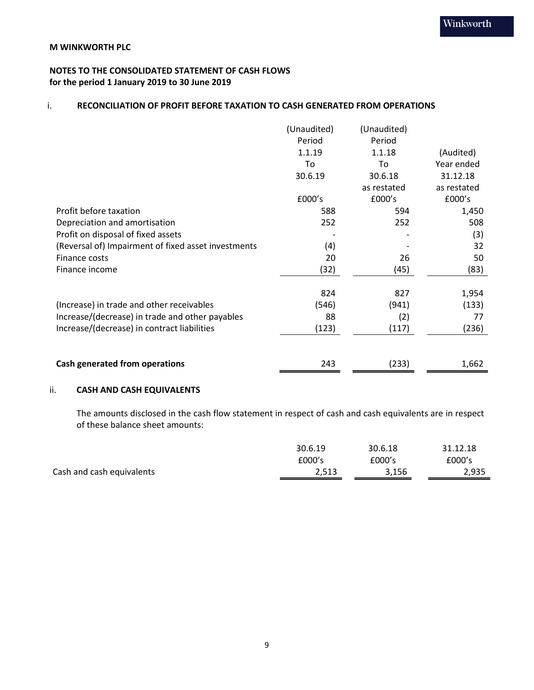## **NOTES TO THE CONSOLIDATED STATEMENT OF CASH FLOWS for the period 1 January 2019 to 30 June 2019**

## i. **RECONCILIATION OF PROFIT BEFORE TAXATION TO CASH GENERATED FROM OPERATIONS**

|                                                     | (Unaudited) | (Unaudited) |             |
|-----------------------------------------------------|-------------|-------------|-------------|
|                                                     | Period      | Period      |             |
|                                                     | 1.1.19      | 1.1.18      | (Audited)   |
|                                                     | To          | To          | Year ended  |
|                                                     | 30.6.19     | 30.6.18     | 31.12.18    |
|                                                     |             | as restated | as restated |
|                                                     | £000's      | £000's      | £000's      |
| Profit before taxation                              | 588         | 594         | 1,450       |
| Depreciation and amortisation                       | 252         | 252         | 508         |
| Profit on disposal of fixed assets                  |             |             | (3)         |
| (Reversal of) Impairment of fixed asset investments | (4)         |             | 32          |
| Finance costs                                       | 20          | 26          | 50          |
| Finance income                                      | (32)        | (45)        | (83)        |
|                                                     | 824         | 827         | 1,954       |
| (Increase) in trade and other receivables           | (546)       | (941)       | (133)       |
| Increase/(decrease) in trade and other payables     | 88          | (2)         | 77          |
| Increase/(decrease) in contract liabilities         | (123)       | (117)       | (236)       |
|                                                     |             |             |             |
| Cash generated from operations                      | 243         | (233)       | 1,662       |

## ii. **CASH AND CASH EQUIVALENTS**

The amounts disclosed in the cash flow statement in respect of cash and cash equivalents are in respect of these balance sheet amounts:

|                           | 30.6.19 | 30.6.18 | 31.12.18 |
|---------------------------|---------|---------|----------|
|                           | £000's  | £000's  | £000's   |
| Cash and cash equivalents | 2,513   | 3,156   | 2,935    |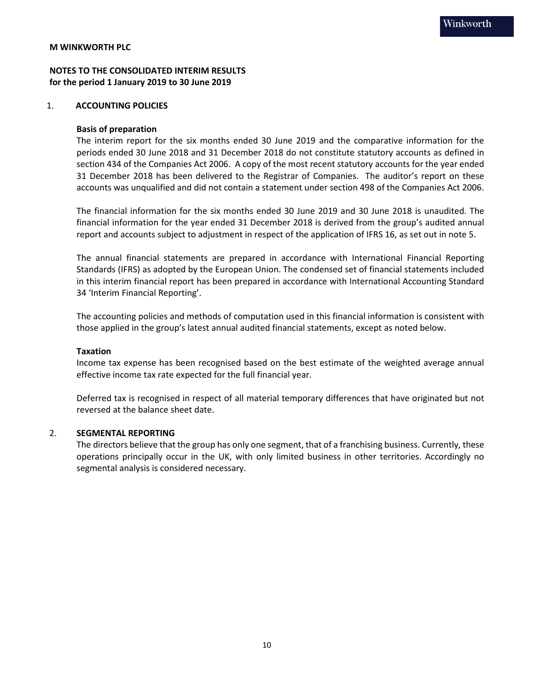## **NOTES TO THE CONSOLIDATED INTERIM RESULTS for the period 1 January 2019 to 30 June 2019**

#### 1. **ACCOUNTING POLICIES**

#### **Basis of preparation**

The interim report for the six months ended 30 June 2019 and the comparative information for the periods ended 30 June 2018 and 31 December 2018 do not constitute statutory accounts as defined in section 434 of the Companies Act 2006. A copy of the most recent statutory accounts for the year ended 31 December 2018 has been delivered to the Registrar of Companies. The auditor's report on these accounts was unqualified and did not contain a statement under section 498 of the Companies Act 2006.

The financial information for the six months ended 30 June 2019 and 30 June 2018 is unaudited. The financial information for the year ended 31 December 2018 is derived from the group's audited annual report and accounts subject to adjustment in respect of the application of IFRS 16, as set out in note 5.

The annual financial statements are prepared in accordance with International Financial Reporting Standards (IFRS) as adopted by the European Union. The condensed set of financial statements included in this interim financial report has been prepared in accordance with International Accounting Standard 34 'Interim Financial Reporting'.

The accounting policies and methods of computation used in this financial information is consistent with those applied in the group's latest annual audited financial statements, except as noted below.

#### **Taxation**

Income tax expense has been recognised based on the best estimate of the weighted average annual effective income tax rate expected for the full financial year.

Deferred tax is recognised in respect of all material temporary differences that have originated but not reversed at the balance sheet date.

#### 2. **SEGMENTAL REPORTING**

The directors believe that the group has only one segment, that of a franchising business. Currently, these operations principally occur in the UK, with only limited business in other territories. Accordingly no segmental analysis is considered necessary.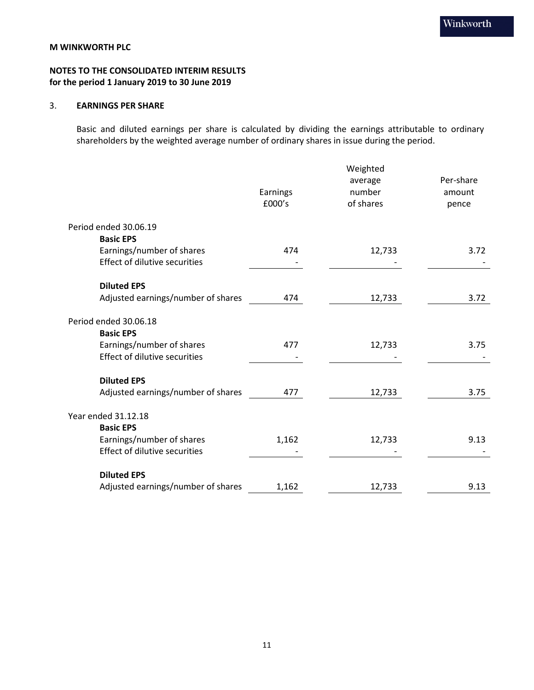## **NOTES TO THE CONSOLIDATED INTERIM RESULTS for the period 1 January 2019 to 30 June 2019**

## 3. **EARNINGS PER SHARE**

Basic and diluted earnings per share is calculated by dividing the earnings attributable to ordinary shareholders by the weighted average number of ordinary shares in issue during the period.

|                                      | Earnings<br>£000's | Weighted<br>average<br>number<br>of shares | Per-share<br>amount<br>pence |
|--------------------------------------|--------------------|--------------------------------------------|------------------------------|
| Period ended 30.06.19                |                    |                                            |                              |
| <b>Basic EPS</b>                     |                    |                                            |                              |
| Earnings/number of shares            | 474                | 12,733                                     | 3.72                         |
| <b>Effect of dilutive securities</b> |                    |                                            |                              |
|                                      |                    |                                            |                              |
| <b>Diluted EPS</b>                   |                    |                                            |                              |
| Adjusted earnings/number of shares   | 474                | 12,733                                     | 3.72                         |
|                                      |                    |                                            |                              |
| Period ended 30.06.18                |                    |                                            |                              |
| <b>Basic EPS</b>                     |                    |                                            |                              |
| Earnings/number of shares            | 477                | 12,733                                     | 3.75                         |
| <b>Effect of dilutive securities</b> |                    |                                            |                              |
|                                      |                    |                                            |                              |
| <b>Diluted EPS</b>                   |                    |                                            |                              |
| Adjusted earnings/number of shares   | 477                | 12,733                                     | 3.75                         |
|                                      |                    |                                            |                              |
| Year ended 31.12.18                  |                    |                                            |                              |
| <b>Basic EPS</b>                     |                    |                                            |                              |
| Earnings/number of shares            | 1,162              | 12,733                                     | 9.13                         |
| <b>Effect of dilutive securities</b> |                    |                                            |                              |
|                                      |                    |                                            |                              |
| <b>Diluted EPS</b>                   |                    |                                            |                              |
| Adjusted earnings/number of shares   | 1,162              | 12,733                                     | 9.13                         |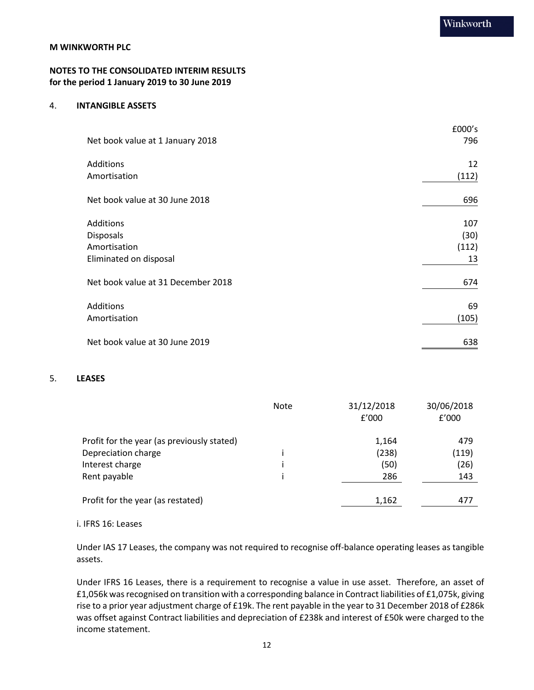## **NOTES TO THE CONSOLIDATED INTERIM RESULTS for the period 1 January 2019 to 30 June 2019**

#### 4. **INTANGIBLE ASSETS**

|                                    | £000's |
|------------------------------------|--------|
| Net book value at 1 January 2018   | 796    |
| Additions                          | 12     |
| Amortisation                       | (112)  |
| Net book value at 30 June 2018     | 696    |
| Additions                          | 107    |
| <b>Disposals</b>                   | (30)   |
| Amortisation                       | (112)  |
| Eliminated on disposal             | 13     |
| Net book value at 31 December 2018 | 674    |
| Additions                          | 69     |
| Amortisation                       | (105)  |
| Net book value at 30 June 2019     | 638    |

#### 5. **LEASES**

|                                            | <b>Note</b> | 31/12/2018<br>f'000 | 30/06/2018<br>f'000 |
|--------------------------------------------|-------------|---------------------|---------------------|
| Profit for the year (as previously stated) |             | 1,164               | 479                 |
| Depreciation charge                        |             | (238)               | (119)               |
| Interest charge                            |             | (50)                | (26)                |
| Rent payable                               |             | 286                 | 143                 |
| Profit for the year (as restated)          |             | 1,162               | 477                 |

#### i. IFRS 16: Leases

Under IAS 17 Leases, the company was not required to recognise off-balance operating leases as tangible assets.

Under IFRS 16 Leases, there is a requirement to recognise a value in use asset. Therefore, an asset of £1,056k was recognised on transition with a corresponding balance in Contract liabilities of £1,075k, giving rise to a prior year adjustment charge of £19k. The rent payable in the year to 31 December 2018 of £286k was offset against Contract liabilities and depreciation of £238k and interest of £50k were charged to the income statement.